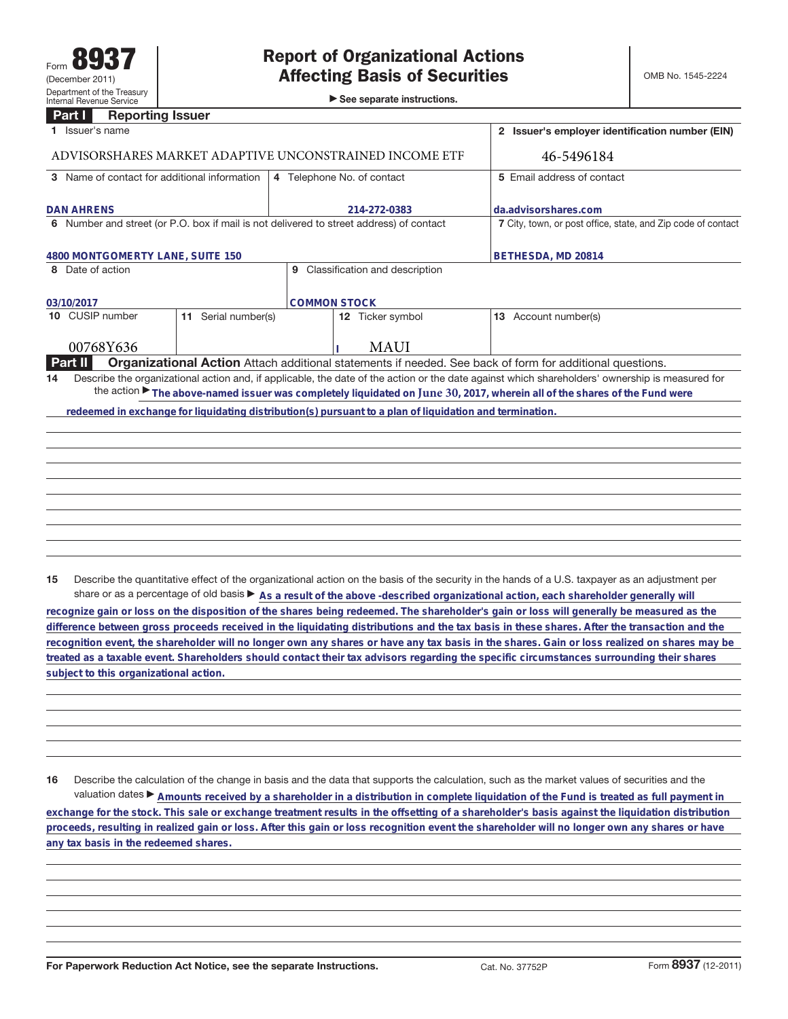►<br>► See separate instructions.

## **Part I Reporting Issuer**

|                                                        | 1 Issuer's name                                                                                                                                                                                                                                                             |                        |                            |                  |  | 2 Issuer's employer identification number (EIN)              |  |
|--------------------------------------------------------|-----------------------------------------------------------------------------------------------------------------------------------------------------------------------------------------------------------------------------------------------------------------------------|------------------------|----------------------------|------------------|--|--------------------------------------------------------------|--|
| ADVISORSHARES MARKET ADAPTIVE UNCONSTRAINED INCOME ETF |                                                                                                                                                                                                                                                                             |                        |                            |                  |  | 46-5496184                                                   |  |
| 3 Name of contact for additional information           |                                                                                                                                                                                                                                                                             |                        | 4 Telephone No. of contact |                  |  | 5 Email address of contact                                   |  |
| <b>DAN AHRENS</b>                                      |                                                                                                                                                                                                                                                                             |                        | 214-272-0383               |                  |  | da.advisorshares.com                                         |  |
|                                                        | 6 Number and street (or P.O. box if mail is not delivered to street address) of contact                                                                                                                                                                                     |                        |                            |                  |  | 7 City, town, or post office, state, and Zip code of contact |  |
| 4800 MONTGOMERTY LANE, SUITE 150                       |                                                                                                                                                                                                                                                                             |                        |                            |                  |  | BETHESDA, MD 20814                                           |  |
|                                                        | Classification and description<br>8 Date of action<br>9                                                                                                                                                                                                                     |                        |                            |                  |  |                                                              |  |
| <b>COMMON STOCK</b><br>03/10/2017                      |                                                                                                                                                                                                                                                                             |                        |                            |                  |  |                                                              |  |
|                                                        | 10 CUSIP number                                                                                                                                                                                                                                                             | Serial number(s)<br>11 |                            | 12 Ticker symbol |  | 13 Account number(s)                                         |  |
|                                                        | 00768Y636                                                                                                                                                                                                                                                                   |                        |                            | <b>MAUI</b>      |  |                                                              |  |
|                                                        | <b>Part II</b><br><b>Organizational Action</b> Attach additional statements if needed. See back of form for additional questions.                                                                                                                                           |                        |                            |                  |  |                                                              |  |
| 14                                                     | Describe the organizational action and, if applicable, the date of the action or the date against which shareholders' ownership is measured for<br>the action The above-named issuer was completely liquidated on June 30, 2017, wherein all of the shares of the Fund were |                        |                            |                  |  |                                                              |  |
|                                                        | redeemed in exchange for liquidating distribution(s) pursuant to a plan of liquidation and termination.                                                                                                                                                                     |                        |                            |                  |  |                                                              |  |
|                                                        |                                                                                                                                                                                                                                                                             |                        |                            |                  |  |                                                              |  |
|                                                        |                                                                                                                                                                                                                                                                             |                        |                            |                  |  |                                                              |  |
|                                                        |                                                                                                                                                                                                                                                                             |                        |                            |                  |  |                                                              |  |
|                                                        |                                                                                                                                                                                                                                                                             |                        |                            |                  |  |                                                              |  |
|                                                        |                                                                                                                                                                                                                                                                             |                        |                            |                  |  |                                                              |  |
|                                                        |                                                                                                                                                                                                                                                                             |                        |                            |                  |  |                                                              |  |
|                                                        |                                                                                                                                                                                                                                                                             |                        |                            |                  |  |                                                              |  |
|                                                        |                                                                                                                                                                                                                                                                             |                        |                            |                  |  |                                                              |  |
|                                                        |                                                                                                                                                                                                                                                                             |                        |                            |                  |  |                                                              |  |

**15** Describe the quantitative effect of the organizational action on the basis of the security in the hands of a U.S. taxpayer as an adjustment per share or as a percentage of old basis  $\blacktriangleright$  As a result of the above -described organizational action, each shareholder generally will

**recognize gain or loss on the disposition of the shares being redeemed. The shareholder's gain or loss will generally be measured as the difference between gross proceeds received in the liquidating distributions and the tax basis in these shares. After the transaction and the recognition event, the shareholder will no longer own any shares or have any tax basis in the shares. Gain or loss realized on shares may be treated as a taxable event. Shareholders should contact their tax advisors regarding the specific circumstances surrounding their shares subject to this organizational action.**

**16** Describe the calculation of the change in basis and the data that supports the calculation, such as the market values of securities and the valuation dates ▶ Amounts received by a shareholder in a distribution in complete liquidation of the Fund is treated as full payment in **exchange for the stock. This sale or exchange treatment results in the offsetting of a shareholder's basis against the liquidation distribution proceeds, resulting in realized gain or loss. After this gain or loss recognition event the shareholder will no longer own any shares or have any tax basis in the redeemed shares.**